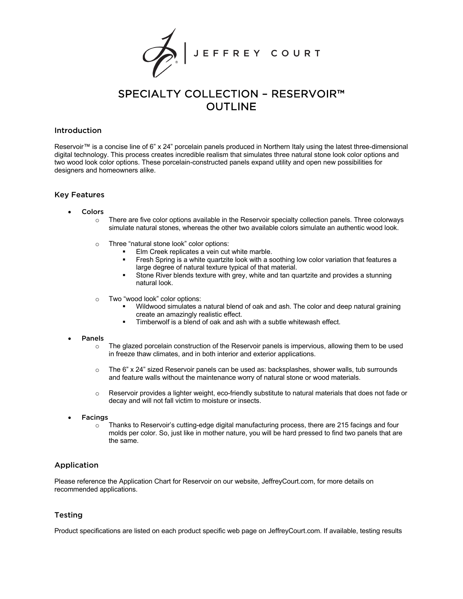

# SPECIALTY COLLECTION – RESERVOIR™ OUTLINE

## Introduction

Reservoir™ is a concise line of 6" x 24" porcelain panels produced in Northern Italy using the latest three-dimensional digital technology. This process creates incredible realism that simulates three natural stone look color options and two wood look color options. These porcelain-constructed panels expand utility and open new possibilities for designers and homeowners alike.

## Key Features

- **Colors** 
	- $\circ$  There are five color options available in the Reservoir specialty collection panels. Three colorways simulate natural stones, whereas the other two available colors simulate an authentic wood look.
	- o Three "natural stone look" color options:
		- Elm Creek replicates a vein cut white marble.
		- § Fresh Spring is a white quartzite look with a soothing low color variation that features a large degree of natural texture typical of that material.
		- Stone River blends texture with grey, white and tan quartzite and provides a stunning natural look.
	- o Two "wood look" color options:
		- Wildwood simulates a natural blend of oak and ash. The color and deep natural graining create an amazingly realistic effect.
		- Timberwolf is a blend of oak and ash with a subtle whitewash effect.

#### **Panels**

- $\circ$  The glazed porcelain construction of the Reservoir panels is impervious, allowing them to be used in freeze thaw climates, and in both interior and exterior applications.
- $\circ$  The 6" x 24" sized Reservoir panels can be used as: backsplashes, shower walls, tub surrounds and feature walls without the maintenance worry of natural stone or wood materials.
- o Reservoir provides a lighter weight, eco-friendly substitute to natural materials that does not fade or decay and will not fall victim to moisture or insects.
- **Facings** 
	- o Thanks to Reservoir's cutting-edge digital manufacturing process, there are 215 facings and four molds per color. So, just like in mother nature, you will be hard pressed to find two panels that are the same.

# Application

Please reference the Application Chart for Reservoir on our website, JeffreyCourt.com, for more details on recommended applications.

# Testing

Product specifications are listed on each product specific web page on JeffreyCourt.com. If available, testing results